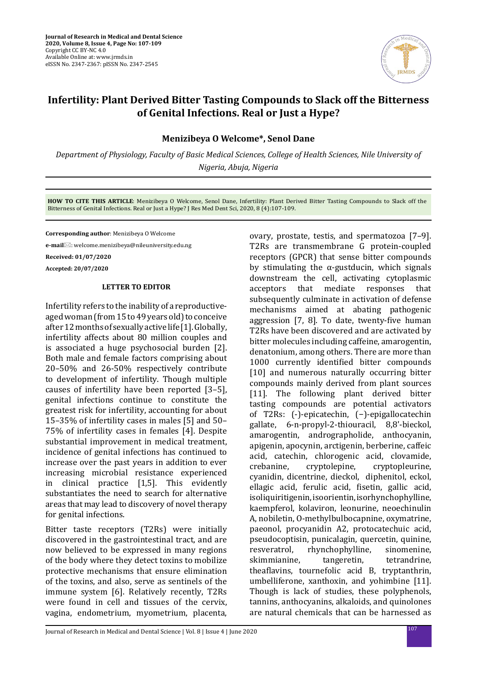

## **Infertility: Plant Derived Bitter Tasting Compounds to Slack off the Bitterness of Genital Infections. Real or Just a Hype?**

**Menizibeya O Welcome\*, Senol Dane**

*Department of Physiology, Faculty of Basic Medical Sciences, College of Health Sciences, Nile University of Nigeria, Abuja, Nigeria*

**HOW TO CITE THIS ARTICLE**: Menizibeya O Welcome, Senol Dane, Infertility: Plant Derived Bitter Tasting Compounds to Slack off the Bitterness of Genital Infections. Real or Just a Hype? J Res Med Dent Sci, 2020, 8 (4):107-109.

**Corresponding author**: Menizibeya O Welcome

**e-mail**: welcome.menizibeya@nileuniversity.edu.ng

**Received: 01/07/2020**

**Accepted: 20/07/2020**

## **LETTER TO EDITOR**

Infertility refers to the inability of a reproductiveaged woman (from 15 to 49 years old) to conceive after 12 months of sexually active life [1]. Globally, infertility affects about 80 million couples and is associated a huge psychosocial burden [2]. Both male and female factors comprising about 20–50% and 26-50% respectively contribute to development of infertility. Though multiple causes of infertility have been reported [3–5], genital infections continue to constitute the greatest risk for infertility, accounting for about 15–35% of infertility cases in males [5] and 50– 75% of infertility cases in females [4]. Despite substantial improvement in medical treatment, incidence of genital infections has continued to increase over the past years in addition to ever increasing microbial resistance experienced in clinical practice [1,5]. This evidently substantiates the need to search for alternative areas that may lead to discovery of novel therapy for genital infections.

Bitter taste receptors (T2Rs) were initially discovered in the gastrointestinal tract, and are now believed to be expressed in many regions of the body where they detect toxins to mobilize protective mechanisms that ensure elimination of the toxins, and also, serve as sentinels of the immune system [6]. Relatively recently, T2Rs were found in cell and tissues of the cervix, vagina, endometrium, myometrium, placenta, ovary, prostate, testis, and spermatozoa [7–9]. T2Rs are transmembrane G protein-coupled receptors (GPCR) that sense bitter compounds by stimulating the  $\alpha$ -gustducin, which signals downstream the cell, activating cytoplasmic<br>acceptors that mediate responses that responses that subsequently culminate in activation of defense mechanisms aimed at abating pathogenic aggression [7, 8]. To date, twenty-five human T2Rs have been discovered and are activated by bitter molecules including caffeine, amarogentin, denatonium, among others. There are more than 1000 currently identified bitter compounds [10] and numerous naturally occurring bitter compounds mainly derived from plant sources [11]. The following plant derived bitter tasting compounds are potential activators of T2Rs: (-)-epicatechin, (−)-epigallocatechin gallate, 6-n-propyl-2-thiouracil, 8,8'-bieckol, amarogentin, andrographolide, anthocyanin, apigenin, apocynin, arctigenin, berberine, caffeic acid, catechin, chlorogenic acid, clovamide,<br>crebanine, cryptolepine, cryptopleurine, cryptopleurine, cyanidin, dicentrine, dieckol, diphenitol, eckol, ellagic acid, ferulic acid, fisetin, gallic acid, isoliquiritigenin, isoorientin, isorhynchophylline, kaempferol, kolaviron, leonurine, neoechinulin A, nobiletin, O-methylbulbocapnine, oxymatrine, paeonol, procyanidin A2, protocatechuic acid, pseudocoptisin, punicalagin, quercetin, quinine, resveratrol, rhynchophylline, sinomenine,<br>skimmianine, tangeretin, tetrandrine, tangeretin, theaflavins, tournefolic acid B, tryptanthrin, umbelliferone, xanthoxin, and yohimbine [11]. Though is lack of studies, these polyphenols, tannins, anthocyanins, alkaloids, and quinolones are natural chemicals that can be harnessed as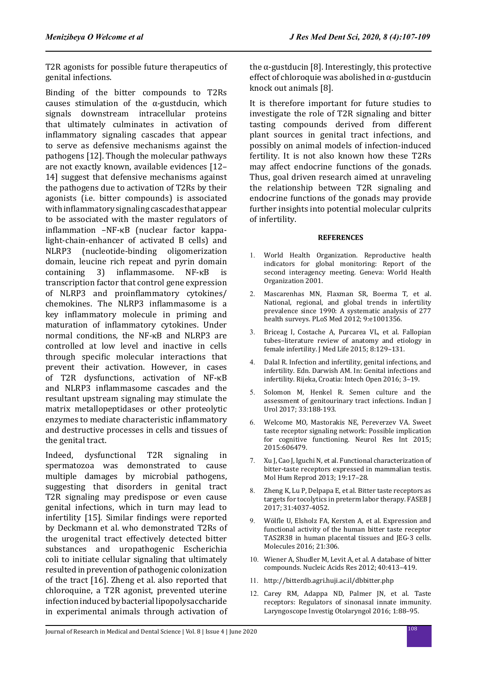T2R agonists for possible future therapeutics of genital infections.

Binding of the bitter compounds to T2Rs causes stimulation of the α-gustducin, which signals downstream intracellular proteins that ultimately culminates in activation of inflammatory signaling cascades that appear to serve as defensive mechanisms against the pathogens [12]. Though the molecular pathways are not exactly known, available evidences [12– 14] suggest that defensive mechanisms against the pathogens due to activation of T2Rs by their agonists (i.e. bitter compounds) is associated with inflammatory signaling cascades that appear to be associated with the master regulators of inflammation –NF-κB (nuclear factor kappalight-chain-enhancer of activated B cells) and Inucleotide-binding oligomerization domain, leucine rich repeat and pyrin domain<br>containing 3) inflammasome. NF- $\kappa$ B is inflammasome. transcription factor that control gene expression of NLRP3 and proinflammatory cytokines/ chemokines. The NLRP3 inflammasome is a key inflammatory molecule in priming and maturation of inflammatory cytokines. Under normal conditions, the NF-κB and NLRP3 are controlled at low level and inactive in cells through specific molecular interactions that prevent their activation. However, in cases of T2R dysfunctions, activation of NF-κB and NLRP3 inflammasome cascades and the resultant upstream signaling may stimulate the matrix metallopeptidases or other proteolytic enzymes to mediate characteristic inflammatory and destructive processes in cells and tissues of the genital tract.

Indeed, dysfunctional T2R signaling in spermatozoa was demonstrated to cause multiple damages by microbial pathogens, suggesting that disorders in genital tract T2R signaling may predispose or even cause genital infections, which in turn may lead to infertility [15]. Similar findings were reported by Deckmann et al. who demonstrated T2Rs of the urogenital tract effectively detected bitter substances and uropathogenic Escherichia coli to initiate cellular signaling that ultimately resulted in prevention of pathogenic colonization of the tract [16]. Zheng et al. also reported that chloroquine, a T2R agonist, prevented uterine infection induced by bacterial lipopolysaccharide in experimental animals through activation of

the  $\alpha$ -gustducin [8]. Interestingly, this protective effect of chloroquie was abolished in  $\alpha$ -gustducin knock out animals [8].

It is therefore important for future studies to investigate the role of T2R signaling and bitter tasting compounds derived from different plant sources in genital tract infections, and possibly on animal models of infection-induced fertility. It is not also known how these T2Rs may affect endocrine functions of the gonads. Thus, goal driven research aimed at unraveling the relationship between T2R signaling and endocrine functions of the gonads may provide further insights into potential molecular culprits of infertility.

## **REFERENCES**

- 1. World Health Organization. Reproductive health indicators for global monitoring: Report of the second interagency meeting. Geneva: World Health Organization 2001.
- 2. Mascarenhas MN, Flaxman SR, Boerma T, et al. National, regional, and global trends in infertility prevalence since 1990: A systematic analysis of 277 health surveys. PLoS Med 2012; 9:e1001356.
- 3. Briceag I, Costache A, Purcarea VL, et al. Fallopian tubes–literature review of anatomy and etiology in female infertility. J Med Life 2015; 8:129–131.
- 4. Dalal R. Infection and infertility, genital infections, and infertility. Edn. Darwish AM. In: Genital infections and infertility. Rijeka, Croatia: Intech Open 2016; 3–19.
- 5. Solomon M, Henkel R. Semen culture and the assessment of genitourinary tract infections. Indian J Urol 2017; 33:188-193.
- 6. Welcome MO, Mastorakis NE, Pereverzev VA. Sweet taste receptor signaling network: Possible implication for cognitive functioning. Neurol Res Int 2015; 2015:606479.
- 7. Xu J, Cao J, Iguchi N, et al. Functional characterization of bitter-taste receptors expressed in mammalian testis. Mol Hum Reprod 2013; 19:17–28.
- 8. Zheng K, Lu P, Delpapa E, et al. Bitter taste receptors as targets for tocolytics in preterm labor therapy. FASEB J 2017; 31:4037-4052.
- 9. Wölfle U, Elsholz FA, Kersten A, et al. Expression and functional activity of the human bitter taste receptor TAS2R38 in human placental tissues and JEG-3 cells. Molecules 2016; 21:306.
- 10. Wiener A, Shudler M, Levit A, et al. A database of bitter compounds. Nucleic Acids Res 2012; 40:413–419.
- 11. http://bitterdb.agri.huji.ac.il/dbbitter.php
- 12. Carey RM, Adappa ND, Palmer JN, et al. Taste receptors: Regulators of sinonasal innate immunity. Laryngoscope Investig Otolaryngol 2016; 1:88–95.